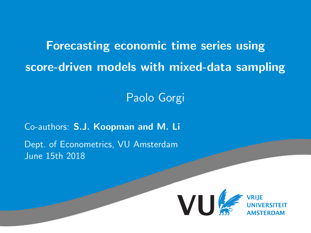Forecasting economic time series using score-driven models with mixed-data sampling

Paolo Gorgi

Co-authors: S.J. Koopman and M. Li Dept. of Econometrics, VU Amsterdam June 15th 2018

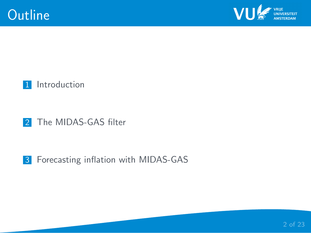



#### 2 [The MIDAS-GAS filter](#page-7-0)

### 3 [Forecasting inflation with MIDAS-GAS](#page-12-0)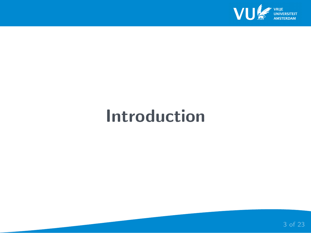

# <span id="page-2-0"></span>Introduction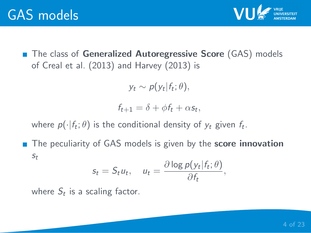

■ The class of Generalized Autoregressive Score (GAS) models of Creal et al. (2013) and Harvey (2013) is

 $y_t \sim p(y_t|f_t;\theta),$ 

 $f_{t+1} = \delta + \phi f_t + \alpha s_t,$ 

where  $p(\cdot|f_t;\theta)$  is the conditional density of  $y_t$  given  $f_t$ .

■ The peculiarity of GAS models is given by the **score innovation** st

$$
s_t = S_t u_t, \quad u_t = \frac{\partial \log p(y_t | f_t; \theta)}{\partial f_t},
$$

where  $S_t$  is a scaling factor.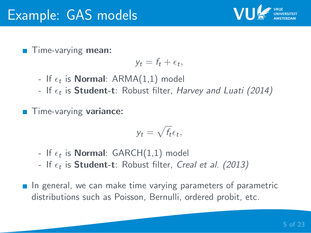

**Time-varying mean:** 

$$
y_t = f_t + \epsilon_t,
$$

- If  $\epsilon_t$  is **Normal**:  $\mathsf{ARMA}(1,1)$  model
- If  $\epsilon_t$  is <code>Student-t</code>: Robust filter, *Harvey and Luati (2014)*
- Time-varying variance:

$$
y_t = \sqrt{f_t} \epsilon_t,
$$

- If  $\epsilon_t$  is **Normal**:  $\mathsf{GARCH}(1,1)$  model
- If  $\epsilon_t$  is  ${\sf Student\text{-}t}$ : Robust filter, *Creal et al. (2013)*
- $\blacksquare$  In general, we can make time varying parameters of parametric distributions such as Poisson, Bernulli, ordered probit, etc.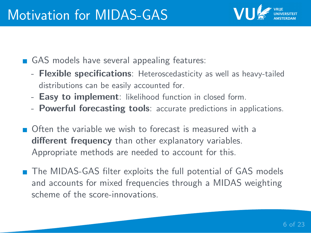

- GAS models have several appealing features:
	- Flexible specifications: Heteroscedasticity as well as heavy-tailed distributions can be easily accounted for.
	- Easy to implement: likelihood function in closed form.
	- Powerful forecasting tools: accurate predictions in applications.
- Often the variable we wish to forecast is measured with a different frequency than other explanatory variables. Appropriate methods are needed to account for this.
- The MIDAS-GAS filter exploits the full potential of GAS models and accounts for mixed frequencies through a MIDAS weighting scheme of the score-innovations.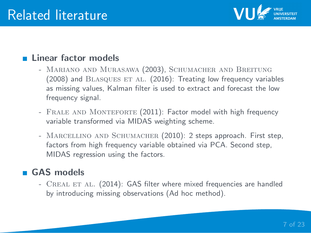

### **Linear factor models**

- MARIANO AND MURASAWA (2003), SCHUMACHER AND BREITUNG (2008) and BLASQUES ET AL. (2016): Treating low frequency variables as missing values, Kalman filter is used to extract and forecast the low frequency signal.
- FRALE AND MONTEFORTE (2011): Factor model with high frequency variable transformed via MIDAS weighting scheme.
- MARCELLINO AND SCHUMACHER (2010): 2 steps approach. First step, factors from high frequency variable obtained via PCA. Second step, MIDAS regression using the factors.

### GAS models

- CREAL ET AL. (2014): GAS filter where mixed frequencies are handled by introducing missing observations (Ad hoc method).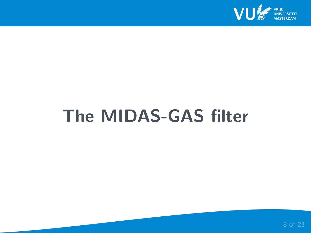

# <span id="page-7-0"></span>The MIDAS-GAS filter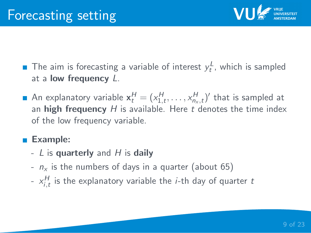

- The aim is forecasting a variable of interest  $y_t^L$ , which is sampled at a **low frequency**  $L$ .
- An explanatory variable  $\mathbf{x}_t^H = (x_{1,t}^H, \ldots, x_{n_x,t}^H)'$  that is sampled at an high frequency  $H$  is available. Here t denotes the time index of the low frequency variable.

## ■ Example:

- $L$  is quarterly and  $H$  is daily
- $n_x$  is the numbers of days in a quarter (about 65)
- $\ x_{i,t}^H$  is the explanatory variable the *i*-th day of quarter  $t$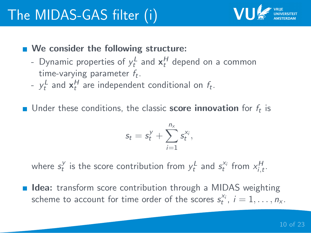

## ■ We consider the following structure:

- Dynamic properties of  $y_t^L$  and  $x_t^H$  depend on a common time-varying parameter  $f_t$ .
- $y_t^L$  and  $\mathbf{x}_t^H$  are independent conditional on  $f_t$ .
- Under these conditions, the classic **score innovation** for  $f_t$  is

$$
s_t = s_t^y + \sum_{i=1}^{n_x} s_t^{x_i},
$$

where  $s_t^y$  is the score contribution from  $y_t^L$  and  $s_t^{x_i}$  from  $x_{i,t}^H$ .

**Idea:** transform score contribution through a MIDAS weighting scheme to account for time order of the scores  $s_t^{x_i}$ ,  $i = 1, \ldots, n_x$ .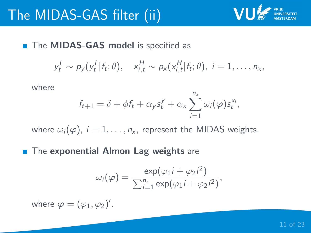

■ The **MIDAS-GAS** model is specified as

$$
y_t^L \sim p_y(y_t^L|f_t; \theta), \quad x_{i,t}^H \sim p_x(x_{i,t}^H|f_t; \theta), \quad i = 1, \ldots, n_x,
$$

where

$$
f_{t+1} = \delta + \phi f_t + \alpha_y s_t^y + \alpha_x \sum_{i=1}^{n_x} \omega_i(\varphi) s_t^{x_i},
$$

where  $\omega_i(\varphi)$ ,  $i = 1, \ldots, n_x$ , represent the MIDAS weights.

**The exponential Almon Lag weights** are

$$
\omega_i(\varphi) = \frac{\exp(\varphi_1 i + \varphi_2 i^2)}{\sum_{i=1}^{n_x} \exp(\varphi_1 i + \varphi_2 i^2)},
$$

where  $\varphi = (\varphi_1, \varphi_2)'$ .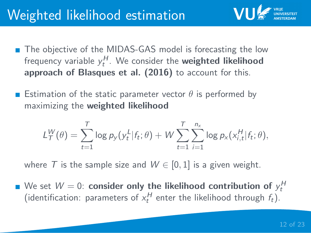# Weighted likelihood estimation

- The objective of the MIDAS-GAS model is forecasting the low frequency variable  $y_t^H$ . We consider the **weighted likelihood** approach of Blasques et al. (2016) to account for this.
- **Estimation of the static parameter vector**  $\theta$  **is performed by** maximizing the weighted likelihood

$$
L_T^W(\theta) = \sum_{t=1}^T \log p_y(y_t^L | f_t; \theta) + W \sum_{t=1}^T \sum_{i=1}^{n_x} \log p_x(x_{i,t}^H | f_t; \theta),
$$

where T is the sample size and  $W \in [0, 1]$  is a given weight.

We set  $W=0$ :  $\mathsf{consider\ only\ the\ likelihood\ contribution\ of\ }y_t^H$ (identification: parameters of  $x_t^H$  enter the likelihood through  $f_t$ ).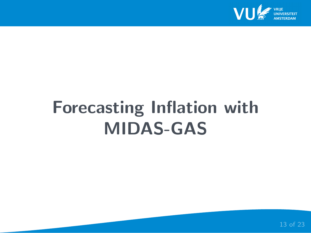

# <span id="page-12-0"></span>Forecasting Inflation with MIDAS-GAS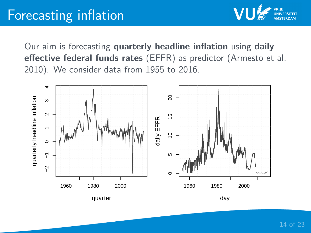Our aim is forecasting quarterly headline inflation using daily effective federal funds rates (EFFR) as predictor (Armesto et al. 2010). We consider data from 1955 to 2016.

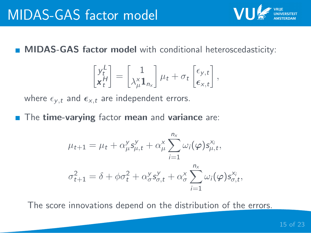**MIDAS-GAS factor model** with conditional heteroscedasticity:

$$
\begin{bmatrix} y_t^L \\ x_t^H \end{bmatrix} = \begin{bmatrix} 1 \\ \lambda_\mu^{\times} \mathbf{1}_{n_{\mathbf{x}}} \end{bmatrix} \mu_t + \sigma_t \begin{bmatrix} \epsilon_{\mathbf{y},t} \\ \epsilon_{\mathbf{x},t} \end{bmatrix},
$$

where  $\epsilon_{v,t}$  and  $\epsilon_{x,t}$  are independent errors.

 $\blacksquare$  The time-varying factor mean and variance are:

$$
\mu_{t+1} = \mu_t + \alpha_\mu^y s_{\mu,t}^y + \alpha_\mu^x \sum_{i=1}^{n_x} \omega_i(\varphi) s_{\mu,t}^{x_i},
$$

$$
\sigma_{t+1}^2 = \delta + \phi \sigma_t^2 + \alpha_\sigma^y s_{\sigma,t}^y + \alpha_\sigma^x \sum_{i=1}^{n_x} \omega_i(\varphi) s_{\sigma,t}^{x_i},
$$

The score innovations depend on the distribution of the errors.

VI.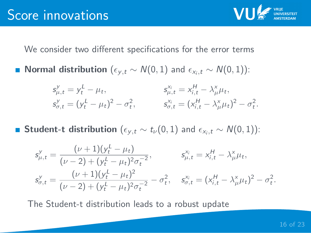

We consider two different specifications for the error terms

**Normal distribution** ( $\epsilon_{y,t} \sim N(0,1)$  and  $\epsilon_{x_i,t} \sim N(0,1)$ ):

$$
s_{\mu,t}^y = y_t^L - \mu_t, \t s_{\mu,t}^x = x_{i,t}^H - \lambda_\mu^x \mu_t,
$$
  
\n
$$
s_{\sigma,t}^y = (y_t^L - \mu_t)^2 - \sigma_t^2, \t s_{\sigma,t}^y = (x_{i,t}^H - \lambda_\mu^x \mu_t)^2 - \sigma_t^2.
$$

**Student-t distribution**  $(\epsilon_{y,t} \sim t_{\nu}(0,1)$  and  $\epsilon_{x_i,t} \sim N(0,1)$ ):

$$
s_{\mu,t}^y = \frac{(\nu+1)(y_t^L - \mu_t)}{(\nu-2) + (y_t^L - \mu_t)^2 \sigma_t^{-2}}, \qquad s_{\mu,t}^{x_i} = x_{i,t}^H - \lambda_{\mu}^x \mu_t,
$$
  

$$
s_{\sigma,t}^y = \frac{(\nu+1)(y_t^L - \mu_t)^2}{(\nu-2) + (y_t^L - \mu_t)^2 \sigma_t^{-2}} - \sigma_t^2, \quad s_{\sigma,t}^{x_i} = (x_{i,t}^H - \lambda_{\mu}^x \mu_t)^2 - \sigma_t^2.
$$

The Student-t distribution leads to a robust update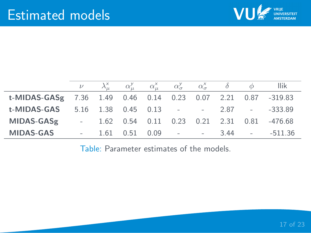

|                                                              |  |  |  |  | $\nu \quad \lambda^x_\mu \quad \alpha^y_\mu \quad \alpha^x_\mu \quad \alpha^y_\sigma \quad \alpha^x_\sigma \quad \delta \quad \phi$ llik |
|--------------------------------------------------------------|--|--|--|--|------------------------------------------------------------------------------------------------------------------------------------------|
| t-MIDAS-GASg 7.36 1.49 0.46 0.14 0.23 0.07 2.21 0.87 -319.83 |  |  |  |  |                                                                                                                                          |
| <b>t-MIDAS-GAS</b> 5.16 1.38 0.45 0.13 - - 2.87 - -333.89    |  |  |  |  |                                                                                                                                          |
| MIDAS-GASg - 1.62 0.54 0.11 0.23 0.21 2.31 0.81 -476.68      |  |  |  |  |                                                                                                                                          |
| <b>MIDAS-GAS</b>                                             |  |  |  |  | $-1.61$ 0.51 0.09 $ -3.44$ $ -511.36$                                                                                                    |

Table: Parameter estimates of the models.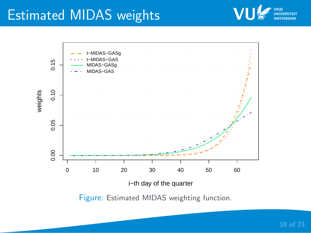# Estimated MIDAS weights



Figure: Estimated MIDAS weighting function.

VU

VRIIE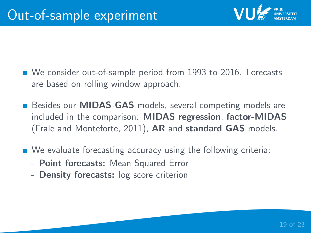

- We consider out-of-sample period from 1993 to 2016. Forecasts are based on rolling window approach.
- **Besides our MIDAS-GAS** models, several competing models are included in the comparison: MIDAS regression, factor-MIDAS (Frale and Monteforte, 2011), AR and standard GAS models.
- We evaluate forecasting accuracy using the following criteria:
	- Point forecasts: Mean Squared Error
	- Density forecasts: log score criterion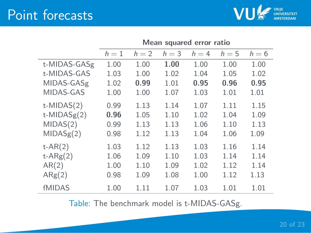## Point forecasts



|                   | Mean squared error ratio |       |         |       |       |       |  |  |
|-------------------|--------------------------|-------|---------|-------|-------|-------|--|--|
|                   | $h=1$                    | $h=2$ | $h = 3$ | $h=4$ | $h=5$ | $h=6$ |  |  |
| t-MIDAS-GASg      | 1.00                     | 1.00  | 1.00    | 1.00  | 1.00  | 1.00  |  |  |
| t-MIDAS-GAS       | 1.03                     | 1.00  | 1.02    | 1.04  | 1.05  | 1.02  |  |  |
| MIDAS-GASg        | 1.02                     | 0.99  | 1.01    | 0.95  | 0.96  | 0.95  |  |  |
| MIDAS-GAS         | 1.00                     | 1.00  | 1.07    | 1.03  | 1.01  | 1.01  |  |  |
| $t$ -MIDAS $(2)$  | 0.99                     | 1.13  | 1.14    | 1.07  | 1.11  | 1.15  |  |  |
| $t$ -MIDAS $g(2)$ | 0.96                     | 1.05  | 1.10    | 1.02  | 1.04  | 1.09  |  |  |
| MIDAS(2)          | 0.99                     | 1.13  | 1.13    | 1.06  | 1.10  | 1.13  |  |  |
| MIDASg(2)         | 0.98                     | 1.12  | 1.13    | 1.04  | 1.06  | 1.09  |  |  |
| $t-AR(2)$         | 1.03                     | 1.12  | 1.13    | 1.03  | 1.16  | 1.14  |  |  |
| $t-ARg(2)$        | 1.06                     | 1.09  | 1.10    | 1.03  | 1.14  | 1.14  |  |  |
| AR(2)             | 1.00                     | 1.10  | 1.09    | 1.02  | 1.12  | 1.14  |  |  |
| $\text{ARg}(2)$   | 0.98                     | 1.09  | 1.08    | 1.00  | 1.12  | 1.13  |  |  |
| <b>fMIDAS</b>     | 1.00                     | 1.11  | 1.07    | 1.03  | 1.01  | 1.01  |  |  |

Table: The benchmark model is t-MIDAS-GASg.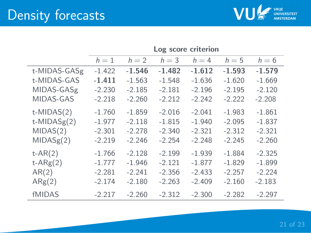

|                   | Log score criterion |          |          |          |          |          |  |  |
|-------------------|---------------------|----------|----------|----------|----------|----------|--|--|
|                   | $h=1$               | $h=2$    | $h = 3$  | $h = 4$  | $h=5$    | $h = 6$  |  |  |
| t-MIDAS-GASg      | $-1.422$            | $-1.546$ | $-1.482$ | $-1.612$ | $-1.593$ | $-1.579$ |  |  |
| t-MIDAS-GAS       | $-1.411$            | $-1.563$ | $-1.548$ | $-1.636$ | $-1.620$ | $-1.669$ |  |  |
| MIDAS-GASg        | $-2.230$            | $-2.185$ | $-2.181$ | $-2.196$ | $-2.195$ | $-2.120$ |  |  |
| MIDAS-GAS         | $-2.218$            | $-2.260$ | $-2.212$ | $-2.242$ | $-2.222$ | $-2.208$ |  |  |
| $t$ -MIDAS $(2)$  | $-1.760$            | $-1.859$ | $-2.016$ | $-2.041$ | $-1.983$ | $-1.861$ |  |  |
| $t$ -MIDAS $g(2)$ | $-1.977$            | $-2.118$ | $-1.815$ | $-1.940$ | $-2.095$ | $-1.837$ |  |  |
| MIDAS(2)          | $-2.301$            | $-2.278$ | $-2.340$ | $-2.321$ | $-2.312$ | $-2.321$ |  |  |
| MIDASg(2)         | $-2.219$            | $-2.246$ | $-2.254$ | $-2.248$ | $-2.245$ | $-2.260$ |  |  |
| $t-AR(2)$         | $-1.766$            | $-2.128$ | $-2.199$ | $-1.939$ | $-1.884$ | $-2.325$ |  |  |
| $t-ARg(2)$        | $-1.777$            | $-1.946$ | $-2.121$ | $-1.877$ | $-1.829$ | $-1.899$ |  |  |
| AR(2)             | $-2.281$            | $-2.241$ | $-2.356$ | $-2.433$ | $-2.257$ | $-2.224$ |  |  |
| $\text{ARg}(2)$   | $-2.174$            | $-2.180$ | $-2.263$ | $-2.409$ | $-2.160$ | $-2.183$ |  |  |
| <b>fMIDAS</b>     | $-2.217$            | $-2.260$ | $-2.312$ | $-2.300$ | $-2.282$ | $-2.297$ |  |  |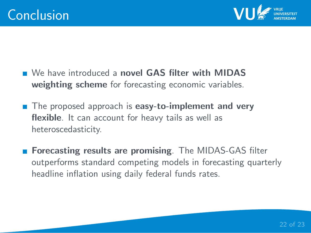

- We have introduced a novel GAS filter with MIDAS weighting scheme for forecasting economic variables.
- The proposed approach is easy-to-implement and very flexible. It can account for heavy tails as well as heteroscedasticity.
- Forecasting results are promising. The MIDAS-GAS filter outperforms standard competing models in forecasting quarterly headline inflation using daily federal funds rates.